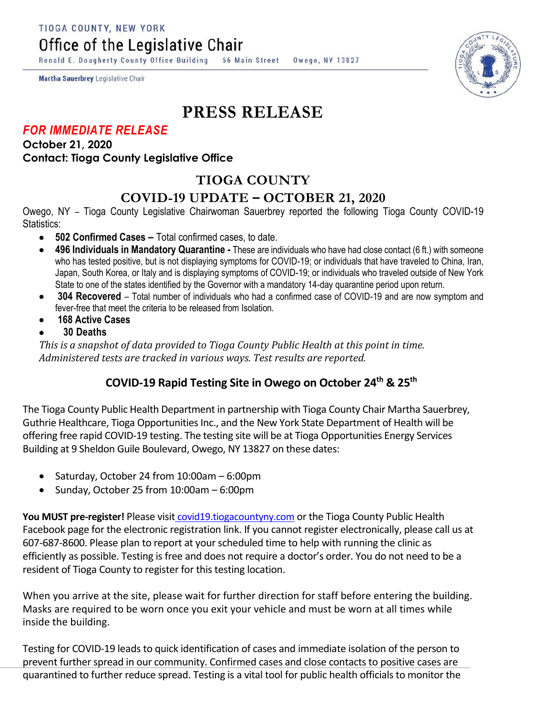TIOGA COUNTY, NEW YORK

Office of the Legislative Chair

Ronald E. Dougherty County Office Building 56 Main Street Owego, NY 13827

Martha Sauerbrey Legislative Chair

# **PRESS RELEASE**

#### *FOR IMMEDIATE RELEASE*

**October 21, 2020 Contact: Tioga County Legislative Office**

## **TIOGA COUNTY**

### **COVID-19 UPDATE – OCTOBER 21, 2020**

Owego, NY – Tioga County Legislative Chairwoman Sauerbrey reported the following Tioga County COVID-19 Statistics:

- **502 Confirmed Cases –** Total confirmed cases, to date.
- **496 Individuals in Mandatory Quarantine -** These are individuals who have had close contact (6 ft.) with someone who has tested positive, but is not displaying symptoms for COVID-19; or individuals that have traveled to China, Iran, Japan, South Korea, or Italy and is displaying symptoms of COVID-19; or individuals who traveled outside of New York State to one of the states identified by the Governor with a mandatory 14-day quarantine period upon return.
- **304 Recovered**  Total number of individuals who had a confirmed case of COVID-19 and are now symptom and fever-free that meet the criteria to be released from Isolation.
- **168 Active Cases**
- **30 Deaths**

*This is a snapshot of data provided to Tioga County Public Health at this point in time. Administered tests are tracked in various ways. Test results are reported.*

### **COVID-19 Rapid Testing Site in Owego on October 24th & 25th**

The Tioga County Public Health Department in partnership with Tioga County Chair Martha Sauerbrey, Guthrie Healthcare, Tioga Opportunities Inc., and the New York State Department of Health will be offering free rapid COVID-19 testing. The testing site will be at Tioga Opportunities Energy Services Building at 9 Sheldon Guile Boulevard, Owego, NY 13827 on these dates:

- Saturday, October 24 from 10:00am 6:00pm
- Sunday, October 25 from 10:00am 6:00pm

You MUST pre-register! Please visit [covid19.tiogacountyny.com](http://covid19.tiogacountyny.com/) or the Tioga County Public Health Facebook page for the electronic registration link. If you cannot register electronically, please call us at 607-687-8600. Please plan to report at your scheduled time to help with running the clinic as efficiently as possible. Testing is free and does not require a doctor's order. You do not need to be a resident of Tioga County to register for this testing location.

When you arrive at the site, please wait for further direction for staff before entering the building. Masks are required to be worn once you exit your vehicle and must be worn at all times while inside the building.

Testing for COVID-19 leads to quick identification of cases and immediate isolation of the person to prevent further spread in our community. Confirmed cases and close contacts to positive cases are quarantined to further reduce spread. Testing is a vital tool for public health officials to monitor the